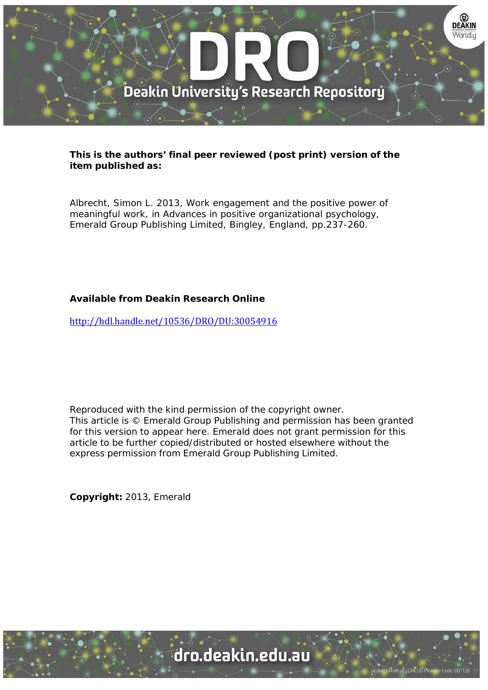

#### **This is the authors' final peer reviewed (post print) version of the item published as:**

Albrecht, Simon L. 2013, Work engagement and the positive power of meaningful work, in Advances in positive organizational psychology, Emerald Group Publishing Limited, Bingley, England, pp.237-260.

# **Available from Deakin Research Online**

http://hdl.handle.net/10536/DRO/DU:30054916

Reproduced with the kind permission of the copyright owner. This article is © Emerald Group Publishing and permission has been granted for this version to appear here. Emerald does not grant permission for this article to be further copied/distributed or hosted elsewhere without the express permission from Emerald Group Publishing Limited.

**Copyright:** 2013, Emerald



ty CRICOS Provider Code: 00113E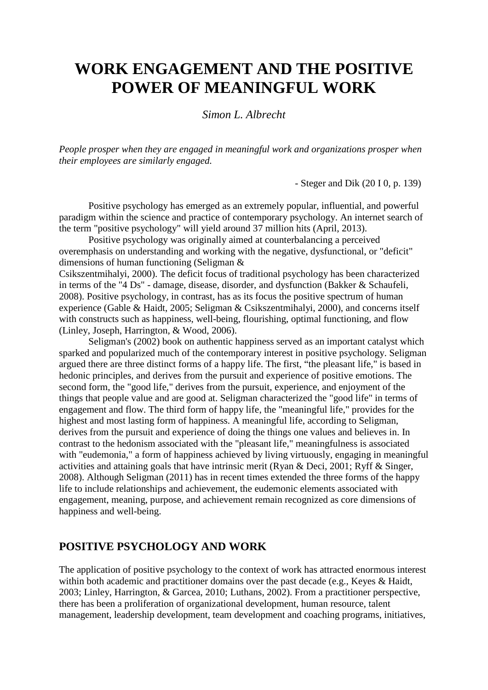# **WORK ENGAGEMENT AND THE POSITIVE POWER OF MEANINGFUL WORK**

*Simon L. Albrecht*

*People prosper when they are engaged in meaningful work and organizations prosper when their employees are similarly engaged.*

- Steger and Dik (20 I 0, p. 139)

Positive psychology has emerged as an extremely popular, influential, and powerful paradigm within the science and practice of contemporary psychology. An internet search of the term "positive psychology" will yield around 37 million hits (April, 2013).

Positive psychology was originally aimed at counterbalancing a perceived overemphasis on understanding and working with the negative, dysfunctional, or "deficit" dimensions of human functioning (Seligman &

Csikszentmihalyi, 2000). The deficit focus of traditional psychology has been characterized in terms of the "4 Ds" - damage, disease, disorder, and dysfunction (Bakker & Schaufeli, 2008). Positive psychology, in contrast, has as its focus the positive spectrum of human experience (Gable & Haidt, 2005; Seligman & Csikszentmihalyi, 2000), and concerns itself with constructs such as happiness, well-being, flourishing, optimal functioning, and flow (Linley, Joseph, Harrington, & Wood, 2006).

Seligman's (2002) book on authentic happiness served as an important catalyst which sparked and popularized much of the contemporary interest in positive psychology. Seligman argued there are three distinct forms of a happy life. The first, "the pleasant life," is based in hedonic principles, and derives from the pursuit and experience of positive emotions. The second form, the "good life," derives from the pursuit, experience, and enjoyment of the things that people value and are good at. Seligman characterized the "good life" in terms of engagement and flow. The third form of happy life, the "meaningful life," provides for the highest and most lasting form of happiness. A meaningful life, according to Seligman, derives from the pursuit and experience of doing the things one values and believes in. In contrast to the hedonism associated with the "pleasant life," meaningfulness is associated with "eudemonia," a form of happiness achieved by living virtuously, engaging in meaningful activities and attaining goals that have intrinsic merit (Ryan & Deci, 2001; Ryff & Singer, 2008). Although Seligman (2011) has in recent times extended the three forms of the happy life to include relationships and achievement, the eudemonic elements associated with engagement, meaning, purpose, and achievement remain recognized as core dimensions of happiness and well-being.

# **POSITIVE PSYCHOLOGY AND WORK**

The application of positive psychology to the context of work has attracted enormous interest within both academic and practitioner domains over the past decade (e.g., Keyes & Haidt, 2003; Linley, Harrington, & Garcea, 2010; Luthans, 2002). From a practitioner perspective, there has been a proliferation of organizational development, human resource, talent management, leadership development, team development and coaching programs, initiatives,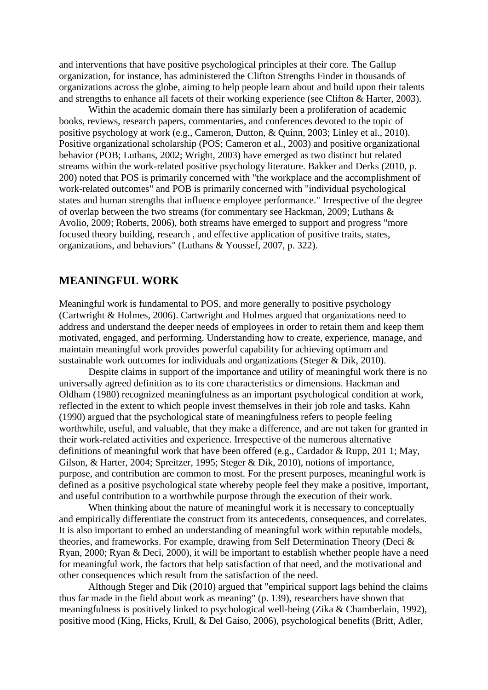and interventions that have positive psychological principles at their core. The Gallup organization, for instance, has administered the Clifton Strengths Finder in thousands of organizations across the globe, aiming to help people learn about and build upon their talents and strengths to enhance all facets of their working experience (see Clifton & Harter, 2003).

Within the academic domain there has similarly been a proliferation of academic books, reviews, research papers, commentaries, and conferences devoted to the topic of positive psychology at work (e.g., Cameron, Dutton, & Quinn, 2003; Linley et al., 2010). Positive organizational scholarship (POS; Cameron et al., 2003) and positive organizational behavior (POB; Luthans, 2002; Wright, 2003) have emerged as two distinct but related streams within the work-related positive psychology literature. Bakker and Derks (2010, p. 200) noted that POS is primarily concerned with "the workplace and the accomplishment of work-related outcomes" and POB is primarily concerned with "individual psychological states and human strengths that influence employee performance." Irrespective of the degree of overlap between the two streams (for commentary see Hackman, 2009; Luthans & Avolio, 2009; Roberts, 2006), both streams have emerged to support and progress "more focused theory building, research , and effective application of positive traits, states, organizations, and behaviors" (Luthans & Youssef, 2007, p. 322).

### **MEANINGFUL WORK**

Meaningful work is fundamental to POS, and more generally to positive psychology (Cartwright & Holmes, 2006). Cartwright and Holmes argued that organizations need to address and understand the deeper needs of employees in order to retain them and keep them motivated, engaged, and performing. Understanding how to create, experience, manage, and maintain meaningful work provides powerful capability for achieving optimum and sustainable work outcomes for individuals and organizations (Steger & Dik, 2010).

Despite claims in support of the importance and utility of meaningful work there is no universally agreed definition as to its core characteristics or dimensions. Hackman and Oldham (1980) recognized meaningfulness as an important psychological condition at work, reflected in the extent to which people invest themselves in their job role and tasks. Kahn (1990) argued that the psychological state of meaningfulness refers to people feeling worthwhile, useful, and valuable, that they make a difference, and are not taken for granted in their work-related activities and experience. Irrespective of the numerous alternative definitions of meaningful work that have been offered (e.g., Cardador & Rupp, 201 1; May, Gilson, & Harter, 2004; Spreitzer, 1995; Steger & Dik, 2010), notions of importance, purpose, and contribution are common to most. For the present purposes, meaningful work is defined as a positive psychological state whereby people feel they make a positive, important, and useful contribution to a worthwhile purpose through the execution of their work.

When thinking about the nature of meaningful work it is necessary to conceptually and empirically differentiate the construct from its antecedents, consequences, and correlates. It is also important to embed an understanding of meaningful work within reputable models, theories, and frameworks. For example, drawing from Self Determination Theory (Deci & Ryan, 2000; Ryan & Deci, 2000), it will be important to establish whether people have a need for meaningful work, the factors that help satisfaction of that need, and the motivational and other consequences which result from the satisfaction of the need.

Although Steger and Dik (2010) argued that "empirical support lags behind the claims thus far made in the field about work as meaning" (p. 139), researchers have shown that meaningfulness is positively linked to psychological well-being (Zika & Chamberlain, 1992), positive mood (King, Hicks, Krull, & Del Gaiso, 2006), psychological benefits (Britt, Adler,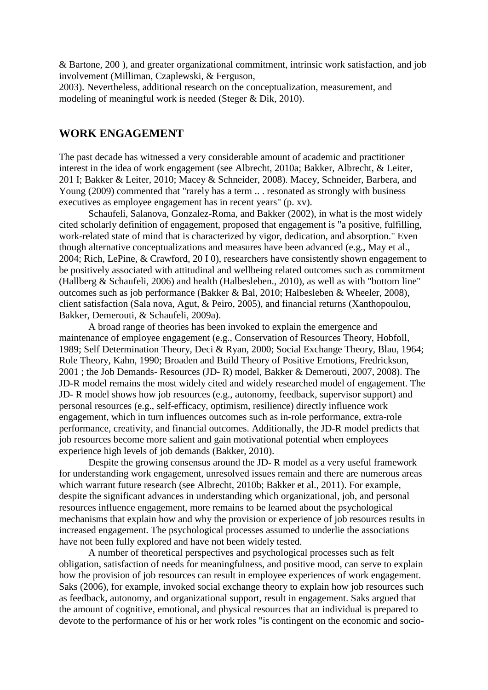& Bartone, 200 ), and greater organizational commitment, intrinsic work satisfaction, and job involvement (Milliman, Czaplewski, & Ferguson,

2003). Nevertheless, additional research on the conceptualization, measurement, and modeling of meaningful work is needed (Steger & Dik, 2010).

### **WORK ENGAGEMENT**

The past decade has witnessed a very considerable amount of academic and practitioner interest in the idea of work engagement (see Albrecht, 2010a; Bakker, Albrecht, & Leiter, 201 I; Bakker & Leiter, 2010; Macey & Schneider, 2008). Macey, Schneider, Barbera, and Young (2009) commented that "rarely has a term .. . resonated as strongly with business executives as employee engagement has in recent years" (p. xv).

Schaufeli, Salanova, Gonzalez-Roma, and Bakker (2002), in what is the most widely cited scholarly definition of engagement, proposed that engagement is "a positive, fulfilling, work-related state of mind that is characterized by vigor, dedication, and absorption." Even though alternative conceptualizations and measures have been advanced (e.g., May et al., 2004; Rich, LePine, & Crawford, 20 I 0), researchers have consistently shown engagement to be positively associated with attitudinal and wellbeing related outcomes such as commitment (Hallberg & Schaufeli, 2006) and health (Halbesleben., 2010), as well as with "bottom line" outcomes such as job performance (Bakker & Bal, 2010; Halbesleben & Wheeler, 2008), client satisfaction (Sala nova, Agut, & Peiro, 2005), and financial returns (Xanthopoulou, Bakker, Demerouti, & Schaufeli, 2009a).

A broad range of theories has been invoked to explain the emergence and maintenance of employee engagement (e.g., Conservation of Resources Theory, Hobfoll, 1989; Self Determination Theory, Deci & Ryan, 2000; Social Exchange Theory, Blau, 1964; Role Theory, Kahn, 1990; Broaden and Build Theory of Positive Emotions, Fredrickson, 2001 ; the Job Demands- Resources (JD- R) model, Bakker & Demerouti, 2007, 2008). The JD-R model remains the most widely cited and widely researched model of engagement. The JD- R model shows how job resources (e.g., autonomy, feedback, supervisor support) and personal resources (e.g., self-efficacy, optimism, resilience) directly influence work engagement, which in turn influences outcomes such as in-role performance, extra-role performance, creativity, and financial outcomes. Additionally, the JD-R model predicts that job resources become more salient and gain motivational potential when employees experience high levels of job demands (Bakker, 2010).

Despite the growing consensus around the JD- R model as a very useful framework for understanding work engagement, unresolved issues remain and there are numerous areas which warrant future research (see Albrecht, 2010b; Bakker et al., 2011). For example, despite the significant advances in understanding which organizational, job, and personal resources influence engagement, more remains to be learned about the psychological mechanisms that explain how and why the provision or experience of job resources results in increased engagement. The psychological processes assumed to underlie the associations have not been fully explored and have not been widely tested.

A number of theoretical perspectives and psychological processes such as felt obligation, satisfaction of needs for meaningfulness, and positive mood, can serve to explain how the provision of job resources can result in employee experiences of work engagement. Saks (2006), for example, invoked social exchange theory to explain how job resources such as feedback, autonomy, and organizational support, result in engagement. Saks argued that the amount of cognitive, emotional, and physical resources that an individual is prepared to devote to the performance of his or her work roles "is contingent on the economic and socio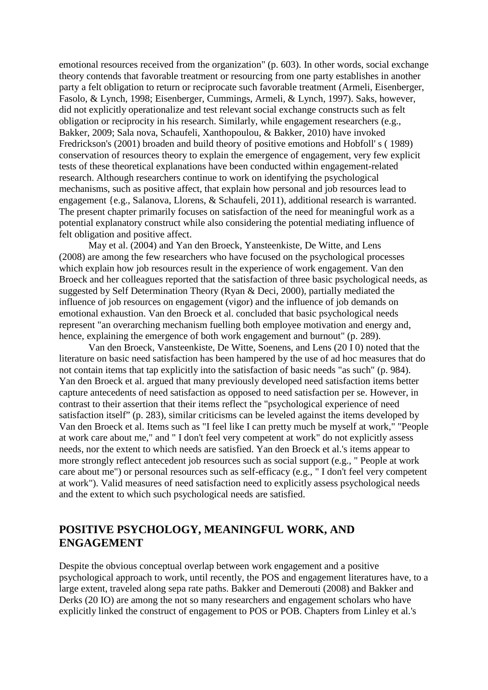emotional resources received from the organization" (p. 603). In other words, social exchange theory contends that favorable treatment or resourcing from one party establishes in another party a felt obligation to return or reciprocate such favorable treatment (Armeli, Eisenberger, Fasolo, & Lynch, 1998; Eisenberger, Cummings, Armeli, & Lynch, 1997). Saks, however, did not explicitly operationalize and test relevant social exchange constructs such as felt obligation or reciprocity in his research. Similarly, while engagement researchers (e.g., Bakker, 2009; Sala nova, Schaufeli, Xanthopoulou, & Bakker, 2010) have invoked Fredrickson's (2001) broaden and build theory of positive emotions and Hobfoll' s ( 1989) conservation of resources theory to explain the emergence of engagement, very few explicit tests of these theoretical explanations have been conducted within engagement-related research. Although researchers continue to work on identifying the psychological mechanisms, such as positive affect, that explain how personal and job resources lead to engagement {e.g., Salanova, Llorens, & Schaufeli, 2011), additional research is warranted. The present chapter primarily focuses on satisfaction of the need for meaningful work as a potential explanatory construct while also considering the potential mediating influence of felt obligation and positive affect.

May et al. (2004) and Yan den Broeck, Yansteenkiste, De Witte, and Lens (2008) are among the few researchers who have focused on the psychological processes which explain how job resources result in the experience of work engagement. Van den Broeck and her colleagues reported that the satisfaction of three basic psychological needs, as suggested by Self Determination Theory (Ryan & Deci, 2000), partially mediated the influence of job resources on engagement (vigor) and the influence of job demands on emotional exhaustion. Van den Broeck et al. concluded that basic psychological needs represent "an overarching mechanism fuelling both employee motivation and energy and, hence, explaining the emergence of both work engagement and burnout" (p. 289).

Van den Broeck, Vansteenkiste, De Witte, Soenens, and Lens (20 I 0) noted that the literature on basic need satisfaction has been hampered by the use of ad hoc measures that do not contain items that tap explicitly into the satisfaction of basic needs "as such" (p. 984). Yan den Broeck et al. argued that many previously developed need satisfaction items better capture antecedents of need satisfaction as opposed to need satisfaction per se. However, in contrast to their assertion that their items reflect the "psychological experience of need satisfaction itself" (p. 283), similar criticisms can be leveled against the items developed by Van den Broeck et al. Items such as "I feel like I can pretty much be myself at work," "People at work care about me," and " I don't feel very competent at work" do not explicitly assess needs, nor the extent to which needs are satisfied. Yan den Broeck et al.'s items appear to more strongly reflect antecedent job resources such as social support (e.g., " People at work care about me") or personal resources such as self-efficacy (e.g., " I don't feel very competent at work"). Valid measures of need satisfaction need to explicitly assess psychological needs and the extent to which such psychological needs are satisfied.

# **POSITIVE PSYCHOLOGY, MEANINGFUL WORK, AND ENGAGEMENT**

Despite the obvious conceptual overlap between work engagement and a positive psychological approach to work, until recently, the POS and engagement literatures have, to a large extent, traveled along sepa rate paths. Bakker and Demerouti (2008) and Bakker and Derks (20 IO) are among the not so many researchers and engagement scholars who have explicitly linked the construct of engagement to POS or POB. Chapters from Linley et al.'s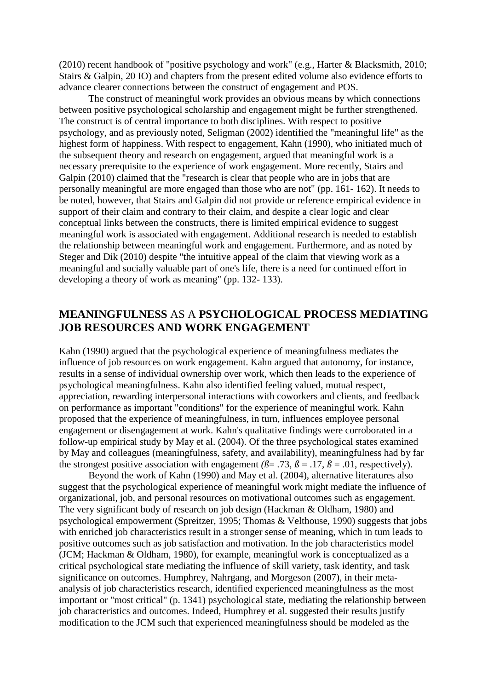(2010) recent handbook of "positive psychology and work" (e.g., Harter & Blacksmith, 2010; Stairs & Galpin, 20 IO) and chapters from the present edited volume also evidence efforts to advance clearer connections between the construct of engagement and POS.

The construct of meaningful work provides an obvious means by which connections between positive psychological scholarship and engagement might be further strengthened. The construct is of central importance to both disciplines. With respect to positive psychology, and as previously noted, Seligman (2002) identified the "meaningful life" as the highest form of happiness. With respect to engagement, Kahn (1990), who initiated much of the subsequent theory and research on engagement, argued that meaningful work is a necessary prerequisite to the experience of work engagement. More recently, Stairs and Galpin (2010) claimed that the "research is clear that people who are in jobs that are personally meaningful are more engaged than those who are not" (pp. 161- 162). It needs to be noted, however, that Stairs and Galpin did not provide or reference empirical evidence in support of their claim and contrary to their claim, and despite a clear logic and clear conceptual links between the constructs, there is limited empirical evidence to suggest meaningful work is associated with engagement. Additional research is needed to establish the relationship between meaningful work and engagement. Furthermore, and as noted by Steger and Dik (2010) despite "the intuitive appeal of the claim that viewing work as a meaningful and socially valuable part of one's life, there is a need for continued effort in developing a theory of work as meaning" (pp. 132- 133).

# **MEANINGFULNESS** AS A **PSYCHOLOGICAL PROCESS MEDIATING JOB RESOURCES AND WORK ENGAGEMENT**

Kahn (1990) argued that the psychological experience of meaningfulness mediates the influence of job resources on work engagement. Kahn argued that autonomy, for instance, results in a sense of individual ownership over work, which then leads to the experience of psychological meaningfulness. Kahn also identified feeling valued, mutual respect, appreciation, rewarding interpersonal interactions with coworkers and clients, and feedback on performance as important "conditions" for the experience of meaningful work. Kahn proposed that the experience of meaningfulness, in turn, influences employee personal engagement or disengagement at work. Kahn's qualitative findings were corroborated in a follow-up empirical study by May et al. (2004). Of the three psychological states examined by May and colleagues (meaningfulness, safety, and availability), meaningfulness had by far the strongest positive association with engagement *(* $\beta$ = .73,  $\beta$  = .17,  $\beta$  = .01, respectively).

Beyond the work of Kahn (1990) and May et al. (2004), alternative literatures also suggest that the psychological experience of meaningful work might mediate the influence of organizational, job, and personal resources on motivational outcomes such as engagement. The very significant body of research on job design (Hackman & Oldham, 1980) and psychological empowerment (Spreitzer, 1995; Thomas & Velthouse, 1990) suggests that jobs with enriched job characteristics result in a stronger sense of meaning, which in tum leads to positive outcomes such as job satisfaction and motivation. In the job characteristics model (JCM; Hackman & Oldham, 1980), for example, meaningful work is conceptualized as a critical psychological state mediating the influence of skill variety, task identity, and task significance on outcomes. Humphrey, Nahrgang, and Morgeson (2007), in their metaanalysis of job characteristics research, identified experienced meaningfulness as the most important or "most critical" (p. 1341) psychological state, mediating the relationship between job characteristics and outcomes. Indeed, Humphrey et al. suggested their results justify modification to the JCM such that experienced meaningfulness should be modeled as the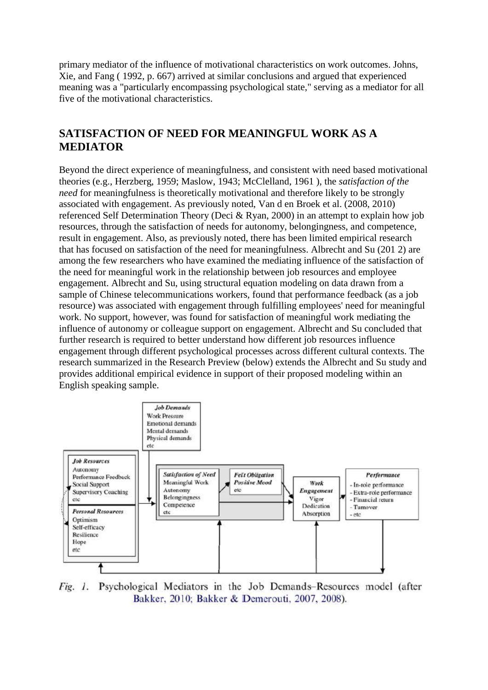primary mediator of the influence of motivational characteristics on work outcomes. Johns, Xie, and Fang ( 1992, p. 667) arrived at similar conclusions and argued that experienced meaning was a "particularly encompassing psychological state," serving as a mediator for all five of the motivational characteristics.

# **SATISFACTION OF NEED FOR MEANINGFUL WORK AS A MEDIATOR**

Beyond the direct experience of meaningfulness, and consistent with need based motivational theories (e.g., Herzberg, 1959; Maslow, 1943; McClelland, 1961 ), the *satisfaction of the need* for meaningfulness is theoretically motivational and therefore likely to be strongly associated with engagement. As previously noted, Van d en Broek et al. (2008, 2010) referenced Self Determination Theory (Deci & Ryan, 2000) in an attempt to explain how job resources, through the satisfaction of needs for autonomy, belongingness, and competence, result in engagement. Also, as previously noted, there has been limited empirical research that has focused on satisfaction of the need for meaningfulness. Albrecht and Su (201 2) are among the few researchers who have examined the mediating influence of the satisfaction of the need for meaningful work in the relationship between job resources and employee engagement. Albrecht and Su, using structural equation modeling on data drawn from a sample of Chinese telecommunications workers, found that performance feedback (as a job resource) was associated with engagement through fulfilling employees' need for meaningful work. No support, however, was found for satisfaction of meaningful work mediating the influence of autonomy or colleague support on engagement. Albrecht and Su concluded that further research is required to better understand how different job resources influence engagement through different psychological processes across different cultural contexts. The research summarized in the Research Preview (below) extends the Albrecht and Su study and provides additional empirical evidence in support of their proposed modeling within an English speaking sample.



Fig. 1. Psychological Mediators in the Job Demands-Resources model (after Bakker, 2010; Bakker & Demerouti, 2007, 2008).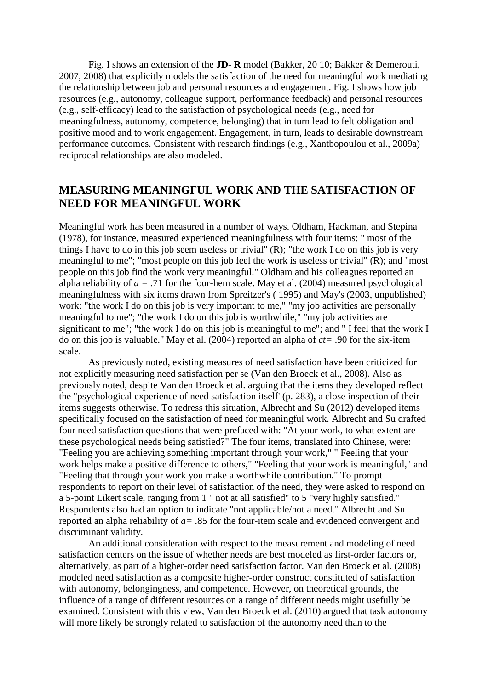Fig. I shows an extension of the **JD- R** model (Bakker, 20 10; Bakker & Demerouti, 2007, 2008) that explicitly models the satisfaction of the need for meaningful work mediating the relationship between job and personal resources and engagement. Fig. I shows how job resources (e.g., autonomy, colleague support, performance feedback) and personal resources (e.g., self-efficacy) lead to the satisfaction of psychological needs (e.g., need for meaningfulness, autonomy, competence, belonging) that in turn lead to felt obligation and positive mood and to work engagement. Engagement, in turn, leads to desirable downstream performance outcomes. Consistent with research findings (e.g., Xantbopoulou et al., 2009a) reciprocal relationships are also modeled.

# **MEASURING MEANINGFUL WORK AND THE SATISFACTION OF NEED FOR MEANINGFUL WORK**

Meaningful work has been measured in a number of ways. Oldham, Hackman, and Stepina (1978), for instance, measured experienced meaningfulness with four items: " most of the things I have to do in this job seem useless or trivial" (R); "the work I do on this job is very meaningful to me"; "most people on this job feel the work is useless or trivial" (R); and "most people on this job find the work very meaningful." Oldham and his colleagues reported an alpha reliability of  $a = .71$  for the four-hem scale. May et al. (2004) measured psychological meaningfulness with six items drawn from Spreitzer's ( 1995) and May's (2003, unpublished) work: "the work I do on this job is very important to me," "my job activities are personally meaningful to me"; "the work I do on this job is worthwhile," "my job activities are significant to me"; "the work I do on this job is meaningful to me"; and " I feel that the work I do on this job is valuable." May et al. (2004) reported an alpha of *ct=* .90 for the six-item scale.

As previously noted, existing measures of need satisfaction have been criticized for not explicitly measuring need satisfaction per se (Van den Broeck et al., 2008). Also as previously noted, despite Van den Broeck et al. arguing that the items they developed reflect the "psychological experience of need satisfaction itself' (p. 283), a close inspection of their items suggests otherwise. To redress this situation, Albrecht and Su (2012) developed items specifically focused on the satisfaction of need for meaningful work. Albrecht and Su drafted four need satisfaction questions that were prefaced with: "At your work, to what extent are these psychological needs being satisfied?" The four items, translated into Chinese, were: "Feeling you are achieving something important through your work," " Feeling that your work helps make a positive difference to others," "Feeling that your work is meaningful," and "Feeling that through your work you make a worthwhile contribution." To prompt respondents to report on their level of satisfaction of the need, they were asked to respond on a 5-point Likert scale, ranging from 1 " not at all satisfied" to 5 "very highly satisfied." Respondents also had an option to indicate "not applicable/not a need." Albrecht and Su reported an alpha reliability of *a=* .85 for the four-item scale and evidenced convergent and discriminant validity.

An additional consideration with respect to the measurement and modeling of need satisfaction centers on the issue of whether needs are best modeled as first-order factors or, alternatively, as part of a higher-order need satisfaction factor. Van den Broeck et al. (2008) modeled need satisfaction as a composite higher-order construct constituted of satisfaction with autonomy, belongingness, and competence. However, on theoretical grounds, the influence of a range of different resources on a range of different needs might usefully be examined. Consistent with this view, Van den Broeck et al. (2010) argued that task autonomy will more likely be strongly related to satisfaction of the autonomy need than to the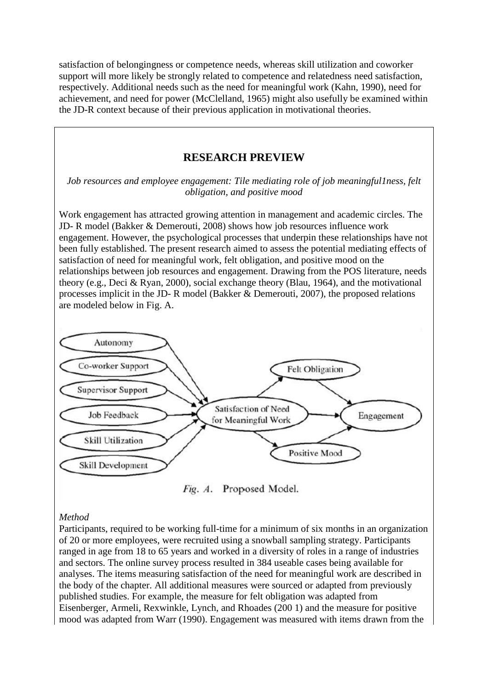satisfaction of belongingness or competence needs, whereas skill utilization and coworker support will more likely be strongly related to competence and relatedness need satisfaction, respectively. Additional needs such as the need for meaningful work (Kahn, 1990), need for achievement, and need for power (McClelland, 1965) might also usefully be examined within the JD-R context because of their previous application in motivational theories.

# **RESEARCH PREVIEW**

*Job resources and employee engagement: Tile mediating role of job meaningful1ness, felt obligation, and positive mood*

Work engagement has attracted growing attention in management and academic circles. The JD- R model (Bakker & Demerouti, 2008) shows how job resources influence work engagement. However, the psychological processes that underpin these relationships have not been fully established. The present research aimed to assess the potential mediating effects of satisfaction of need for meaningful work, felt obligation, and positive mood on the relationships between job resources and engagement. Drawing from the POS literature, needs theory (e.g., Deci & Ryan, 2000), social exchange theory (Blau, 1964), and the motivational processes implicit in the JD- R model (Bakker & Demerouti, 2007), the proposed relations are modeled below in Fig. A.



Fig. A. Proposed Model.

#### *Method*

Participants, required to be working full-time for a minimum of six months in an organization of 20 or more employees, were recruited using a snowball sampling strategy. Participants ranged in age from 18 to 65 years and worked in a diversity of roles in a range of industries and sectors. The online survey process resulted in 384 useable cases being available for analyses. The items measuring satisfaction of the need for meaningful work are described in the body of the chapter. All additional measures were sourced or adapted from previously published studies. For example, the measure for felt obligation was adapted from Eisenberger, Armeli, Rexwinkle, Lynch, and Rhoades (200 1) and the measure for positive mood was adapted from Warr (1990). Engagement was measured with items drawn from the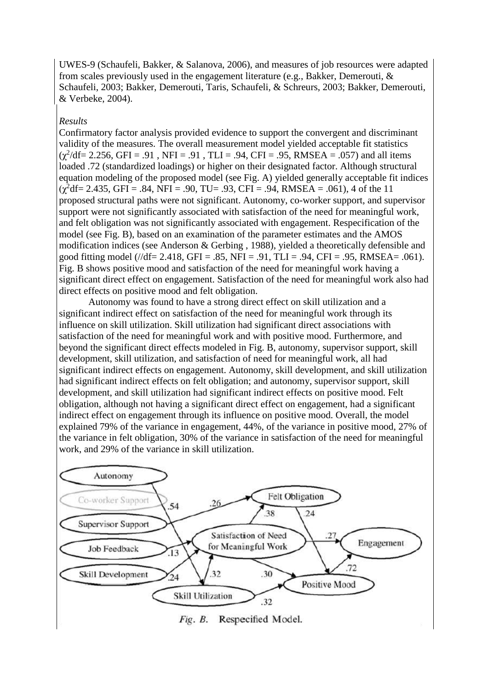UWES-9 (Schaufeli, Bakker, & Salanova, 2006), and measures of job resources were adapted from scales previously used in the engagement literature (e.g., Bakker, Demerouti, & Schaufeli, 2003; Bakker, Demerouti, Taris, Schaufeli, & Schreurs, 2003; Bakker, Demerouti, & Verbeke, 2004).

#### *Results*

Confirmatory factor analysis provided evidence to support the convergent and discriminant validity of the measures. The overall measurement model yielded acceptable fit statistics  $(\chi^2/df = 2.256, \text{GFI} = .91, \text{NFI} = .91, \text{TLI} = .94, \text{CFI} = .95, \text{RMSEA} = .057)$  and all items loaded .72 (standardized loadings) or higher on their designated factor. Although structural equation modeling of the proposed model (see Fig. A) yielded generally acceptable fit indices  $(\chi^2 df = 2.435, GFI = .84, NFI = .90, TU = .93, CFI = .94, RMSEA = .061), 4 of the 11$ proposed structural paths were not significant. Autonomy, co-worker support, and supervisor support were not significantly associated with satisfaction of the need for meaningful work, and felt obligation was not significantly associated with engagement. Respecification of the model (see Fig. B), based on an examination of the parameter estimates and the AMOS modification indices (see Anderson & Gerbing , 1988), yielded a theoretically defensible and good fitting model (//df= 2.418, GFI = .85, NFI = .91, TLI = .94, CFI = .95, RMSEA= .061). Fig. B shows positive mood and satisfaction of the need for meaningful work having a significant direct effect on engagement. Satisfaction of the need for meaningful work also had direct effects on positive mood and felt obligation.

Autonomy was found to have a strong direct effect on skill utilization and a significant indirect effect on satisfaction of the need for meaningful work through its influence on skill utilization. Skill utilization had significant direct associations with satisfaction of the need for meaningful work and with positive mood. Furthermore, and beyond the significant direct effects modeled in Fig. B, autonomy, supervisor support, skill development, skill utilization, and satisfaction of need for meaningful work, all had significant indirect effects on engagement. Autonomy, skill development, and skill utilization had significant indirect effects on felt obligation; and autonomy, supervisor support, skill development, and skill utilization had significant indirect effects on positive mood. Felt obligation, although not having a significant direct effect on engagement, had a significant indirect effect on engagement through its influence on positive mood. Overall, the model explained 79% of the variance in engagement, 44%, of the variance in positive mood, 27% of the variance in felt obligation, 30% of the variance in satisfaction of the need for meaningful work, and 29% of the variance in skill utilization.



Fig. B. Respecified Model.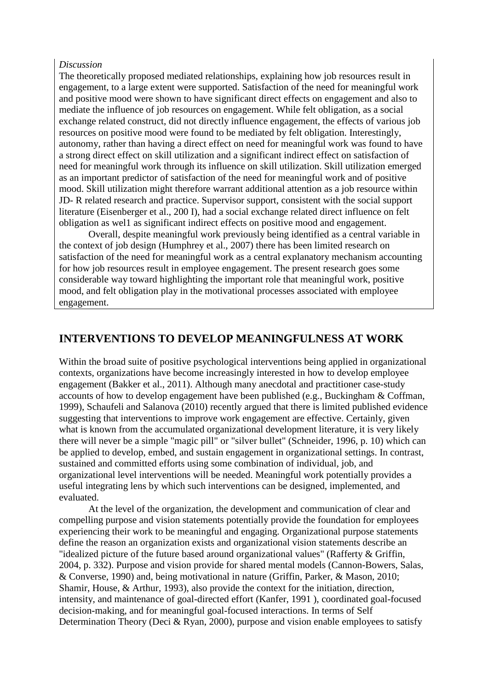#### *Discussion*

The theoretically proposed mediated relationships, explaining how job resources result in engagement, to a large extent were supported. Satisfaction of the need for meaningful work and positive mood were shown to have significant direct effects on engagement and also to mediate the influence of job resources on engagement. While felt obligation, as a social exchange related construct, did not directly influence engagement, the effects of various job resources on positive mood were found to be mediated by felt obligation. Interestingly, autonomy, rather than having a direct effect on need for meaningful work was found to have a strong direct effect on skill utilization and a significant indirect effect on satisfaction of need for meaningful work through its influence on skill utilization. Skill utilization emerged as an important predictor of satisfaction of the need for meaningful work and of positive mood. Skill utilization might therefore warrant additional attention as a job resource within JD- R related research and practice. Supervisor support, consistent with the social support literature (Eisenberger et al., 200 I), had a social exchange related direct influence on felt obligation as wel1 as significant indirect effects on positive mood and engagement.

Overall, despite meaningful work previously being identified as a central variable in the context of job design (Humphrey et al., 2007) there has been limited research on satisfaction of the need for meaningful work as a central explanatory mechanism accounting for how job resources result in employee engagement. The present research goes some considerable way toward highlighting the important role that meaningful work, positive mood, and felt obligation play in the motivational processes associated with employee engagement.

# **INTERVENTIONS TO DEVELOP MEANINGFULNESS AT WORK**

Within the broad suite of positive psychological interventions being applied in organizational contexts, organizations have become increasingly interested in how to develop employee engagement (Bakker et al., 2011). Although many anecdotal and practitioner case-study accounts of how to develop engagement have been published (e.g., Buckingham & Coffman, 1999), Schaufeli and Salanova (2010) recently argued that there is limited published evidence suggesting that interventions to improve work engagement are effective. Certainly, given what is known from the accumulated organizational development literature, it is very likely there will never be a simple "magic pill" or "silver bullet" (Schneider, 1996, p. 10) which can be applied to develop, embed, and sustain engagement in organizational settings. In contrast, sustained and committed efforts using some combination of individual, job, and organizational level interventions will be needed. Meaningful work potentially provides a useful integrating lens by which such interventions can be designed, implemented, and evaluated.

At the level of the organization, the development and communication of clear and compelling purpose and vision statements potentially provide the foundation for employees experiencing their work to be meaningful and engaging. Organizational purpose statements define the reason an organization exists and organizational vision statements describe an "idealized picture of the future based around organizational values" (Rafferty & Griffin, 2004, p. 332). Purpose and vision provide for shared mental models (Cannon-Bowers, Salas, & Converse, 1990) and, being motivational in nature (Griffin, Parker, & Mason, 2010; Shamir, House, & Arthur, 1993), also provide the context for the initiation, direction, intensity, and maintenance of goal-directed effort (Kanfer, 1991 ), coordinated goal-focused decision-making, and for meaningful goal-focused interactions. In terms of Self Determination Theory (Deci & Ryan, 2000), purpose and vision enable employees to satisfy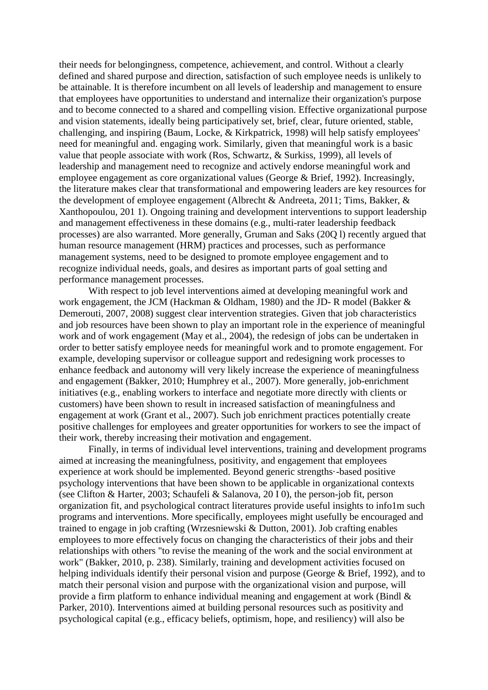their needs for belongingness, competence, achievement, and control. Without a clearly defined and shared purpose and direction, satisfaction of such employee needs is unlikely to be attainable. It is therefore incumbent on all levels of leadership and management to ensure that employees have opportunities to understand and internalize their organization's purpose and to become connected to a shared and compelling vision. Effective organizational purpose and vision statements, ideally being participatively set, brief, clear, future oriented, stable, challenging, and inspiring (Baum, Locke, & Kirkpatrick, 1998) will help satisfy employees' need for meaningful and. engaging work. Similarly, given that meaningful work is a basic value that people associate with work (Ros, Schwartz, & Surkiss, 1999), all levels of leadership and management need to recognize and actively endorse meaningful work and employee engagement as core organizational values (George & Brief, 1992). Increasingly, the literature makes clear that transformational and empowering leaders are key resources for the development of employee engagement (Albrecht & Andreeta, 2011; Tims, Bakker, & Xanthopoulou, 201 1). Ongoing training and development interventions to support leadership and management effectiveness in these domains (e.g., multi-rater leadership feedback processes) are also warranted. More generally, Gruman and Saks (20Q l) recently argued that human resource management (HRM) practices and processes, such as performance management systems, need to be designed to promote employee engagement and to recognize individual needs, goals, and desires as important parts of goal setting and performance management processes.

With respect to job level interventions aimed at developing meaningful work and work engagement, the JCM (Hackman & Oldham, 1980) and the JD- R model (Bakker & Demerouti, 2007, 2008) suggest clear intervention strategies. Given that job characteristics and job resources have been shown to play an important role in the experience of meaningful work and of work engagement (May et al., 2004), the redesign of jobs can be undertaken in order to better satisfy employee needs for meaningful work and to promote engagement. For example, developing supervisor or colleague support and redesigning work processes to enhance feedback and autonomy will very likely increase the experience of meaningfulness and engagement (Bakker, 2010; Humphrey et al., 2007). More generally, job-enrichment initiatives (e.g., enabling workers to interface and negotiate more directly with clients or customers) have been shown to result in increased satisfaction of meaningfulness and engagement at work (Grant et al., 2007). Such job enrichment practices potentially create positive challenges for employees and greater opportunities for workers to see the impact of their work, thereby increasing their motivation and engagement.

Finally, in terms of individual level interventions, training and development programs aimed at increasing the meaningfulness, positivity, and engagement that employees experience at work should be implemented. Beyond generic strengths·-based positive psychology interventions that have been shown to be applicable in organizational contexts (see Clifton & Harter, 2003; Schaufeli & Salanova, 20 I 0), the person-job fit, person organization fit, and psychological contract literatures provide useful insights to info1m such programs and interventions. More specifically, employees might usefully be encouraged and trained to engage in job crafting (Wrzesniewski & Dutton, 2001). Job crafting enables employees to more effectively focus on changing the characteristics of their jobs and their relationships with others "to revise the meaning of the work and the social environment at work" (Bakker, 2010, p. 238). Similarly, training and development activities focused on helping individuals identify their personal vision and purpose (George & Brief, 1992), and to match their personal vision and purpose with the organizational vision and purpose, will provide a firm platform to enhance individual meaning and engagement at work (Bindl & Parker, 2010). Interventions aimed at building personal resources such as positivity and psychological capital (e.g., efficacy beliefs, optimism, hope, and resiliency) will also be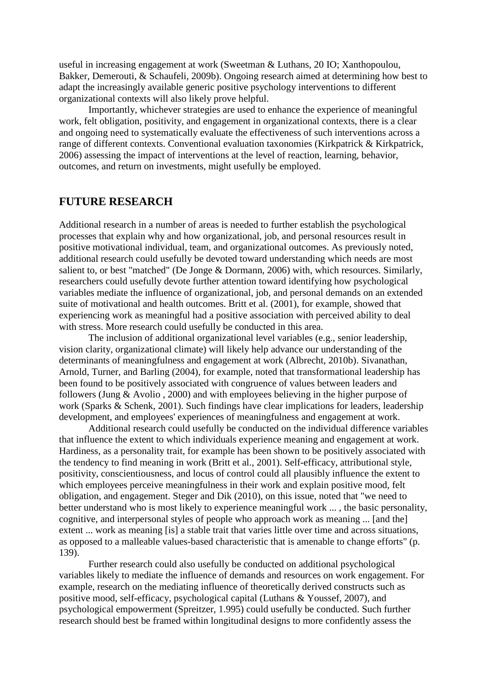useful in increasing engagement at work (Sweetman & Luthans, 20 IO; Xanthopoulou, Bakker, Demerouti, & Schaufeli, 2009b). Ongoing research aimed at determining how best to adapt the increasingly available generic positive psychology interventions to different organizational contexts will also likely prove helpful.

Importantly, whichever strategies are used to enhance the experience of meaningful work, felt obligation, positivity, and engagement in organizational contexts, there is a clear and ongoing need to systematically evaluate the effectiveness of such interventions across a range of different contexts. Conventional evaluation taxonomies (Kirkpatrick & Kirkpatrick, 2006) assessing the impact of interventions at the level of reaction, learning, behavior, outcomes, and return on investments, might usefully be employed.

# **FUTURE RESEARCH**

Additional research in a number of areas is needed to further establish the psychological processes that explain why and how organizational, job, and personal resources result in positive motivational individual, team, and organizational outcomes. As previously noted, additional research could usefully be devoted toward understanding which needs are most salient to, or best "matched" (De Jonge & Dormann, 2006) with, which resources. Similarly, researchers could usefully devote further attention toward identifying how psychological variables mediate the influence of organizational, job, and personal demands on an extended suite of motivational and health outcomes. Britt et al. (2001), for example, showed that experiencing work as meaningful had a positive association with perceived ability to deal with stress. More research could usefully be conducted in this area.

The inclusion of additional organizational level variables (e.g., senior leadership, vision clarity, organizational climate) will likely help advance our understanding of the determinants of meaningfulness and engagement at work (Albrecht, 2010b). Sivanathan, Arnold, Turner, and Barling (2004), for example, noted that transformational leadership has been found to be positively associated with congruence of values between leaders and followers (Jung & Avolio , 2000) and with employees believing in the higher purpose of work (Sparks & Schenk, 2001). Such findings have clear implications for leaders, leadership development, and employees' experiences of meaningfulness and engagement at work.

Additional research could usefully be conducted on the individual difference variables that influence the extent to which individuals experience meaning and engagement at work. Hardiness, as a personality trait, for example has been shown to be positively associated with the tendency to find meaning in work (Britt et al., 2001). Self-efficacy, attributional style, positivity, conscientiousness, and locus of control could all plausibly influence the extent to which employees perceive meaningfulness in their work and explain positive mood, felt obligation, and engagement. Steger and Dik (2010), on this issue, noted that "we need to better understand who is most likely to experience meaningful work ... , the basic personality, cognitive, and interpersonal styles of people who approach work as meaning ... [and the] extent ... work as meaning [is] a stable trait that varies little over time and across situations, as opposed to a malleable values-based characteristic that is amenable to change efforts" (p. 139).

Further research could also usefully be conducted on additional psychological variables likely to mediate the influence of demands and resources on work engagement. For example, research on the mediating influence of theoretically derived constructs such as positive mood, self-efficacy, psychological capital (Luthans & Youssef, 2007), and psychological empowerment (Spreitzer, 1.995) could usefully be conducted. Such further research should best be framed within longitudinal designs to more confidently assess the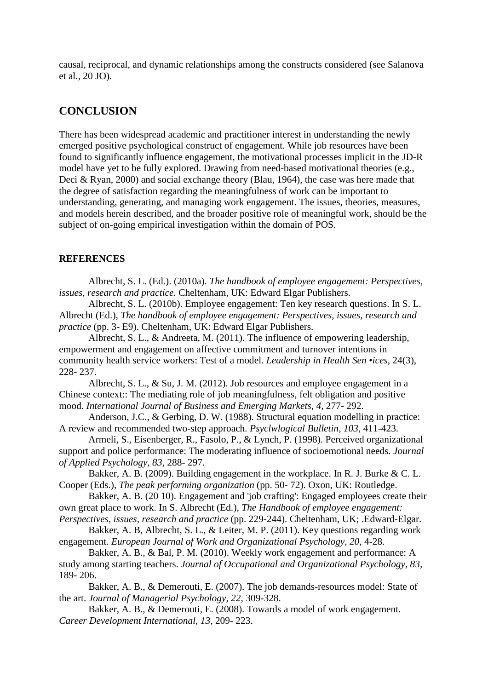causal, reciprocal, and dynamic relationships among the constructs considered (see Salanova et al., 20 JO).

# **CONCLUSION**

There has been widespread academic and practitioner interest in understanding the newly emerged positive psychological construct of engagement. While job resources have been found to significantly influence engagement, the motivational processes implicit in the JD-R model have yet to be fully explored. Drawing from need-based motivational theories (e.g., Deci & Ryan, 2000) and social exchange theory (Blau, 1964), the case was here made that the degree of satisfaction regarding the meaningfulness of work can be important to understanding, generating, and managing work engagement. The issues, theories, measures, and models herein described, and the broader positive role of meaningful work, should be the subject of on-going empirical investigation within the domain of POS.

#### **REFERENCES**

Albrecht, S. L. (Ed.). (2010a). *The handbook of employee engagement: Perspectives, issues, research and practice.* Cheltenham, UK: Edward Elgar Publishers.

Albrecht, S. L. (2010b). Employee engagement: Ten key research questions. In S. L. Albrecht (Ed.), *The handbook of employee engagement: Perspectives, issues, research and practice* (pp. 3- E9). Cheltenham, UK: Edward Elgar Publishers.

Albrecht, S. L., & Andreeta, M. (2011). The influence of empowering leadership, empowerment and engagement on affective commitment and turnover intentions in community health service workers: Test of a model. *Leadership in Health Sen •ices,* 24(3), 228- 237.

Albrecht, S. L., & Su, J. M. (2012). Job resources and employee engagement in a Chinese context:: The mediating role of job meaningfulness, felt obligation and positive mood. *International Journal of Business and Emerging Markets, 4,* 277- 292.

Anderson, J.C., & Gerbing, D. W. (1988). Structural equation modelling in practice: A review and recommended two-step approach. *Psyclwlogical Bulletin, 103,* 411-423.

Armeli, S., Eisenberger, R., Fasolo, P., & Lynch, P. (1998). Perceived organizational support and police performance: The moderating influence of socioemotional needs. *Journal of Applied Psychology, 83,* 288- 297.

Bakker, A. B. (2009). Building engagement in the workplace. In R. J. Burke & C. L. Cooper (Eds.), *The peak performing organization* (pp. 50- 72). Oxon, UK: Routledge.

Bakker, A. B. (20 10). Engagement and 'job crafting': Engaged employees create their own great place to work. In S. Albrecht (Ed.), *The Handbook of employee engagement:* 

*Perspectives, issues, research and practice* (pp. 229-244). Cheltenham, UK; .Edward-Elgar. Bakker, A. B, Albrecht, S. L., & Leiter, M. P. (2011). Key questions regarding work engagement. *European Journal of Work and Organizational Psychology, 20,* 4-28.

Bakker, A. B., & Bal, P. M. (2010). Weekly work engagement and performance: A study among starting teachers. *Journal of Occupational and Organizational Psychology, 83,*  189- 206.

Bakker, A. B., & Demerouti, E. (2007). The job demands-resources model: State of the art. *Journal of Managerial Psychology, 22,* 309-328.

Bakker, A. B., & Demerouti, E. (2008). Towards a model of work engagement. *Career Development International, 13,* 209- 223.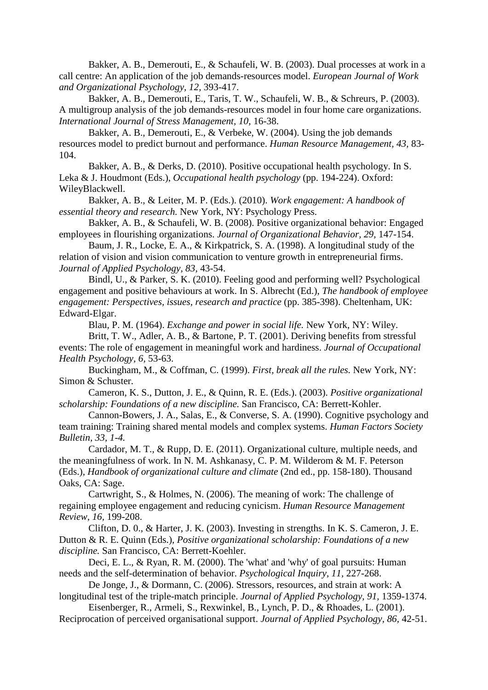Bakker, A. B., Demerouti, E., & Schaufeli, W. B. (2003). Dual processes at work in a call centre: An application of the job demands-resources model. *European Journal of Work and Organizational Psychology, 12,* 393-417.

Bakker, A. B., Demerouti, E., Taris, T. W., Schaufeli, W. B., & Schreurs, P. (2003). A multigroup analysis of the job demands-resources model in four home care organizations. *International Journal of Stress Management, 10,* 16-38.

Bakker, A. B., Demerouti, E., & Verbeke, W. (2004). Using the job demands resources model to predict burnout and performance. *Human Resource Management, 43,* 83- 104.

Bakker, A. B., & Derks, D. (2010). Positive occupational health psychology. In S. Leka & J. Houdmont (Eds.), *Occupational health psychology* (pp. 194-224). Oxford: WileyBlackwell.

Bakker, A. B., & Leiter, M. P. (Eds.). (2010). *Work engagement: A handbook of essential theory and research.* New York, NY: Psychology Press.

Bakker, A. B., & Schaufeli, W. B. (2008). Positive organizational behavior: Engaged employees in flourishing organizations. *Journal of Organizational Behavior, 29,* 147-154.

Baum, J. R., Locke, E. A., & Kirkpatrick, S. A. (1998). A longitudinal study of the relation of vision and vision communication to venture growth in entrepreneurial firms. *Journal of Applied Psychology, 83,* 43-54.

Bindl, U., & Parker, S. K. (2010). Feeling good and performing well? Psychological engagement and positive behaviours at work. In S. Albrecht (Ed.), *The handbook of employee engagement: Perspectives, issues, research and practice* (pp. 385-398). Cheltenham, UK: Edward-Elgar.

Blau, P. M. (1964). *Exchange and power in social life.* New York, NY: Wiley.

Britt, T. W., Adler, A. B., & Bartone, P. T. (2001). Deriving benefits from stressful events: The role of engagement in meaningful work and hardiness. *Journal of Occupational Health Psychology, 6,* 53-63.

Buckingham, M., & Coffman, C. (1999). *First, break all the rules.* New York, NY: Simon & Schuster.

Cameron, K. S., Dutton, J. E., & Quinn, R. E. (Eds.). (2003). *Positive organizational scholarship: Foundations of a new discipline.* San Francisco, CA: Berrett-Kohler.

Cannon-Bowers, J. A., Salas, E., & Converse, S. A. (1990). Cognitive psychology and team training: Training shared mental models and complex systems. *Human Factors Society Bulletin, 33, 1-4.*

Cardador, M. T., & Rupp, D. E. (2011). Organizational culture, multiple needs, and the meaningfulness of work. In N. M. Ashkanasy, C. P. M. Wilderom & M. F. Peterson (Eds.), *Handbook of organizational culture and climate* (2nd ed., pp. 158-180). Thousand Oaks, CA: Sage.

Cartwright, S., & Holmes, N. (2006). The meaning of work: The challenge of regaining employee engagement and reducing cynicism. *Human Resource Management Review, 16,* 199-208.

Clifton, D. 0., & Harter, J. K. (2003). Investing in strengths. In K. S. Cameron, J. E. Dutton & R. E. Quinn (Eds.), *Positive organizational scholarship: Foundations of a new discipline.* San Francisco, CA: Berrett-Koehler.

Deci, E. L., & Ryan, R. M. (2000). The 'what' and 'why' of goal pursuits: Human needs and the self-determination of behavior. *Psychological Inquiry, 11,* 227-268.

De Jonge, J., & Dormann, C. (2006). Stressors, resources, and strain at work: A longitudinal test of the triple-match principle. *Journal of Applied Psychology, 91,* 1359-1374.

Eisenberger, R., Armeli, S., Rexwinkel, B., Lynch, P. D., & Rhoades, L. (2001). Reciprocation of perceived organisational support. *Journal of Applied Psychology, 86,* 42-51.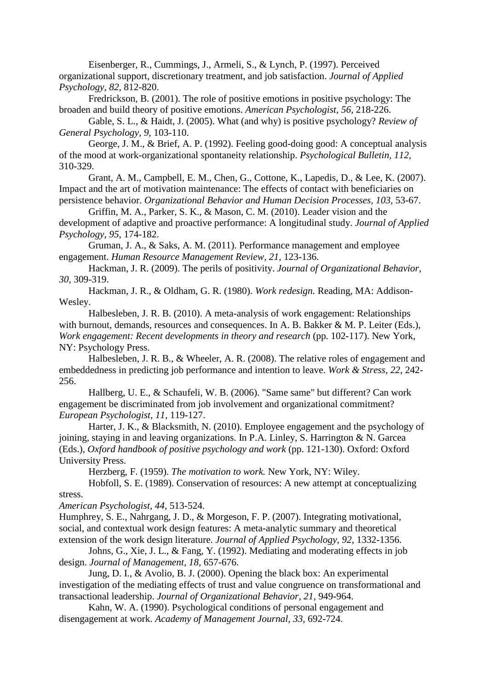Eisenberger, R., Cummings, J., Armeli, S., & Lynch, P. (1997). Perceived organizational support, discretionary treatment, and job satisfaction. *Journal of Applied Psychology, 82,* 812-820.

Fredrickson, B. (2001). The role of positive emotions in positive psychology: The broaden and build theory of positive emotions. *American Psychologist, 56,* 218-226.

Gable, S. L., & Haidt, J. (2005). What (and why) is positive psychology? *Review of General Psychology, 9,* 103-110.

George, J. M., & Brief, A. P. (1992). Feeling good-doing good: A conceptual analysis of the mood at work-organizational spontaneity relationship. *Psychological Bulletin, 112,* 310-329.

Grant, A. M., Campbell, E. M., Chen, G., Cottone, K., Lapedis, D., & Lee, K. (2007). Impact and the art of motivation maintenance: The effects of contact with beneficiaries on persistence behavior. *Organizational Behavior and Human Decision Processes, 103,* 53-67.

Griffin, M. A., Parker, S. K., & Mason, C. M. (2010). Leader vision and the development of adaptive and proactive performance: A longitudinal study. *Journal of Applied Psychology, 95,* 174-182.

Gruman, J. A., & Saks, A. M. (2011). Performance management and employee engagement. *Human Resource Management Review, 21,* 123-136.

Hackman, J. R. (2009). The perils of positivity. *Journal of Organizational Behavior, 30,* 309-319.

Hackman, J. R., & Oldham, G. R. (1980). *Work redesign.* Reading, MA: Addison-Wesley.

Halbesleben, J. R. B. (2010). A meta-analysis of work engagement: Relationships with burnout, demands, resources and consequences. In A. B. Bakker & M. P. Leiter (Eds.), *Work engagement: Recent developments in theory and research (pp. 102-117). New York,* NY: Psychology Press.

Halbesleben, J. R. B., & Wheeler, A. R. (2008). The relative roles of engagement and embeddedness in predicting job performance and intention to leave. *Work & Stress, 22,* 242- 256.

Hallberg, U. E., & Schaufeli, W. B. (2006). "Same same" but different? Can work engagement be discriminated from job involvement and organizational commitment? *European Psychologist, 11,* 119-127.

Harter, J. K., & Blacksmith, N. (2010). Employee engagement and the psychology of joining, staying in and leaving organizations. In P.A. Linley, S. Harrington & N. Garcea (Eds.), *Oxford handbook of positive psychology and work* (pp. 121-130). Oxford: Oxford University Press.

Herzberg, F. (1959). *The motivation to work.* New York, NY: Wiley.

Hobfoll, S. E. (1989). Conservation of resources: A new attempt at conceptualizing stress.

*American Psychologist, 44,* 513-524.

Humphrey, S. E., Nahrgang, J. D., & Morgeson, F. P. (2007). Integrating motivational, social, and contextual work design features: A meta-analytic summary and theoretical extension of the work design literature. *Journal of Applied Psychology, 92,* 1332-1356.

Johns, G., Xie, J. L., & Fang, Y. (1992). Mediating and moderating effects in job design. *Journal of Management, 18,* 657-676.

Jung, D. I., & Avolio, B. J. (2000). Opening the black box: An experimental investigation of the mediating effects of trust and value congruence on transformational and transactional leadership. *Journal of Organizational Behavior, 21,* 949-964.

Kahn, W. A. (1990). Psychological conditions of personal engagement and disengagement at work. *Academy of Management Journal, 33,* 692-724.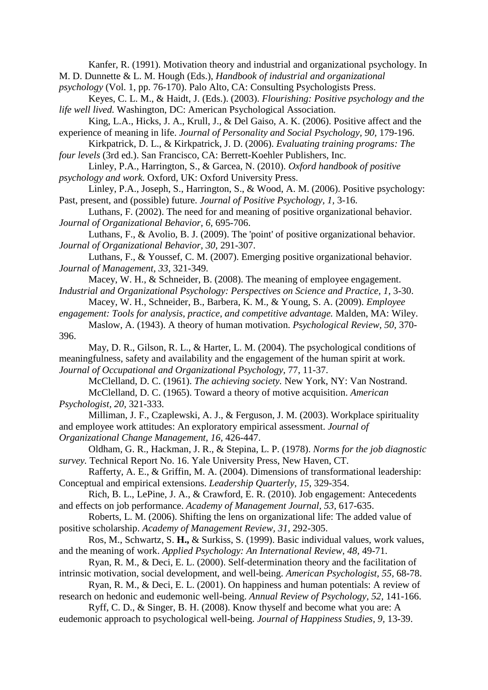Kanfer, R. (1991). Motivation theory and industrial and organizational psychology. In

M. D. Dunnette & L. M. Hough (Eds.), *Handbook of industrial and organizational*

*psychology* (Vol. 1, pp. 76-170). Palo Alto, CA: Consulting Psychologists Press.

Keyes, C. L. M., & Haidt, J. (Eds.). (2003). *Flourishing: Positive psychology and the life well lived.* Washington, DC: American Psychological Association.

King, L.A., Hicks, J. A., Krull, J., & Del Gaiso, A. K. (2006). Positive affect and the experience of meaning in life. *Journal of Personality and Social Psychology, 90,* 179-196.

Kirkpatrick, D. L., & Kirkpatrick, J. D. (2006). *Evaluating training programs: The four levels* (3rd ed.). San Francisco, CA: Berrett-Koehler Publishers, Inc.

Linley, P.A., Harrington, S., & Garcea, N. (2010). *Oxford handbook of positive psychology and work.* Oxford, UK: Oxford University Press.

Linley, P.A., Joseph, S., Harrington, S., & Wood, A. M. (2006). Positive psychology: Past, present, and (possible) future. *Journal of Positive Psychology, 1,* 3-16.

Luthans, F. (2002). The need for and meaning of positive organizational behavior. *Journal of Organizational Behavior, 6,* 695-706.

Luthans, F., & Avolio, B. J. (2009). The 'point' of positive organizational behavior. *Journal of Organizational Behavior, 30,* 291-307.

Luthans, F., & Youssef, C. M. (2007). Emerging positive organizational behavior. *Journal of Management, 33,* 321-349.

Macey, W. H., & Schneider, B. (2008). The meaning of employee engagement. *Industrial and Organizational Psychology: Perspectives on Science and Practice, 1, 3-30.* 

Macey, W. H., Schneider, B., Barbera, K. M., & Young, S. A. (2009). *Employee engagement: Tools for analysis, practice, and competitive advantage.* Malden, MA: Wiley.

Maslow, A. (1943). A theory of human motivation. *Psychological Review, 50,* 370- 396.

May, D. R., Gilson, R. L., & Harter, L. M. (2004). The psychological conditions of meaningfulness, safety and availability and the engagement of the human spirit at work. *Journal of Occupational and Organizational Psychology,* 77, 11-37.

McClelland, D. C. (1961). *The achieving society.* New York, NY: Van Nostrand. McClelland, D. C. (1965). Toward a theory of motive acquisition. *American Psychologist, 20,* 321-333.

Milliman, J. F., Czaplewski, A. J., & Ferguson, J. M. (2003). Workplace spirituality and employee work attitudes: An exploratory empirical assessment. *Journal of Organizational Change Management, 16,* 426-447.

Oldham, G. R., Hackman, J. R., & Stepina, L. P. (1978). *Norms for the job diagnostic survey.* Technical Report No. 16. Yale University Press, New Haven, CT.

Rafferty, A. E., & Griffin, M. A. (2004). Dimensions of transformational leadership: Conceptual and empirical extensions. *Leadership Quarterly, 15,* 329-354.

Rich, B. L., LePine, J. A., & Crawford, E. R. (2010). Job engagement: Antecedents and effects on job performance. *Academy of Management Journal, 53,* 617-635.

Roberts, L. M. (2006). Shifting the lens on organizational life: The added value of positive scholarship. *Academy of Management Review, 31,* 292-305.

Ros, M., Schwartz, S. **H.,** & Surkiss, S. (1999). Basic individual values, work values, and the meaning of work. *Applied Psychology: An International Review, 48,* 49-71.

Ryan, R. M., & Deci, E. L. (2000). Self-determination theory and the facilitation of intrinsic motivation, social development, and well-being. *American Psychologist, 55,* 68-78.

Ryan, R. M., & Deci, E. L. (2001). On happiness and human potentials: A review of research on hedonic and eudemonic well-being. *Annual Review of Psychology, 52,* 141-166.

Ryff, C. D., & Singer, B. H. (2008). Know thyself and become what you are: A eudemonic approach to psychological well-being. *Journal of Happiness Studies, 9,* 13-39.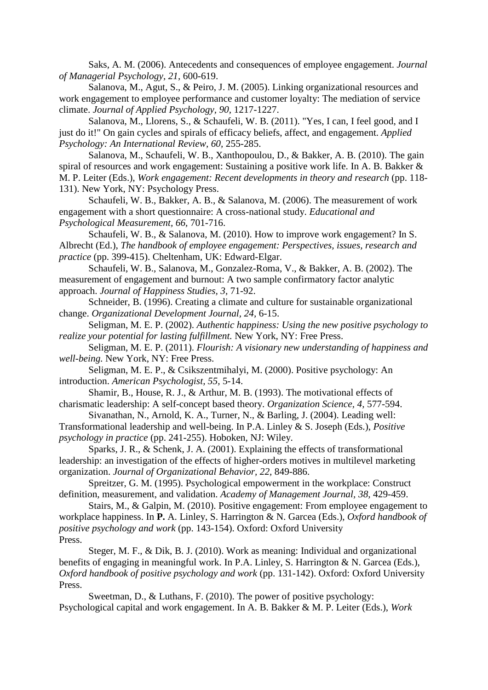Saks, A. M. (2006). Antecedents and consequences of employee engagement. *Journal of Managerial Psychology, 21,* 600-619.

Salanova, M., Agut, S., & Peiro, J. M. (2005). Linking organizational resources and work engagement to employee performance and customer loyalty: The mediation of service climate. *Journal of Applied Psychology, 90,* 1217-1227.

Salanova, M., Llorens, S., & Schaufeli, W. B. (2011). "Yes, I can, I feel good, and I just do it!" On gain cycles and spirals of efficacy beliefs, affect, and engagement. *Applied Psychology: An International Review, 60,* 255-285.

Salanova, M., Schaufeli, W. B., Xanthopoulou, D., & Bakker, A. B. (2010). The gain spiral of resources and work engagement: Sustaining a positive work life. In A. B. Bakker & M. P. Leiter (Eds.), *Work engagement: Recent developments in theory and research* (pp. 118- 131). New York, NY: Psychology Press.

Schaufeli, W. B., Bakker, A. B., & Salanova, M. (2006). The measurement of work engagement with a short questionnaire: A cross-national study. *Educational and Psychological Measurement, 66,* 701-716.

Schaufeli, W. B., & Salanova, M. (2010). How to improve work engagement? In S. Albrecht (Ed.), *The handbook of employee engagement: Perspectives, issues, research and practice* (pp. 399-415). Cheltenham, UK: Edward-Elgar.

Schaufeli, W. B., Salanova, M., Gonzalez-Roma, V., & Bakker, A. B. (2002). The measurement of engagement and burnout: A two sample confirmatory factor analytic approach. *Journal of Happiness Studies, 3,* 71-92.

Schneider, B. (1996). Creating a climate and culture for sustainable organizational change. *Organizational Development Journal, 24,* 6-15.

Seligman, M. E. P. (2002). *Authentic happiness: Using the new positive psychology to realize your potential for lasting fulfillment.* New York, NY: Free Press.

Seligman, M. E. P. (2011). *Flourish: A visionary new understanding of happiness and well-being.* New York, NY: Free Press.

Seligman, M. E. P., & Csikszentmihalyi, M. (2000). Positive psychology: An introduction. *American Psychologist, 55,* 5-14.

Shamir, B., House, R. J., & Arthur, M. B. (1993). The motivational effects of charismatic leadership: A self-concept based theory. *Organization Science, 4,* 577-594.

Sivanathan, N., Arnold, K. A., Turner, N., & Barling, J. (2004). Leading well: Transformational leadership and well-being. In P.A. Linley & S. Joseph (Eds.), *Positive psychology in practice* (pp. 241-255). Hoboken, NJ: Wiley.

Sparks, J. R., & Schenk, J. A. (2001). Explaining the effects of transformational leadership: an investigation of the effects of higher-orders motives in multilevel marketing organization. *Journal of Organizational Behavior, 22,* 849-886.

Spreitzer, G. M. (1995). Psychological empowerment in the workplace: Construct definition, measurement, and validation. *Academy of Management Journal, 38,* 429-459.

Stairs, M., & Galpin, M. (2010). Positive engagement: From employee engagement to workplace happiness. In **P.** A. Linley, S. Harrington & N. Garcea (Eds.), *Oxford handbook of positive psychology and work* (pp. 143-154). Oxford: Oxford University Press.

Steger, M. F., & Dik, B. J. (2010). Work as meaning: Individual and organizational benefits of engaging in meaningful work. In P.A. Linley, S. Harrington & N. Garcea (Eds.), *Oxford handbook of positive psychology and work* (pp. 131-142). Oxford: Oxford University Press.

Sweetman, D., & Luthans, F. (2010). The power of positive psychology: Psychological capital and work engagement. In A. B. Bakker & M. P. Leiter (Eds.), *Work*